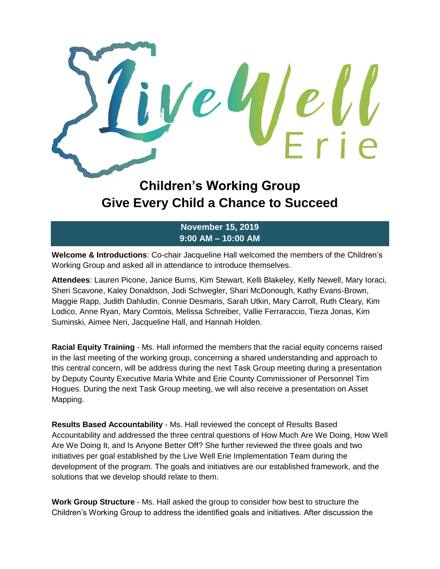

## **Children's Working Group Give Every Child a Chance to Succeed**

## **November 15, 2019 9:00 AM – 10:00 AM**

**Welcome & Introductions**: Co-chair Jacqueline Hall welcomed the members of the Children's Working Group and asked all in attendance to introduce themselves.

**Attendees**: Lauren Picone, Janice Burns, Kim Stewart, Kelli Blakeley, Kelly Newell, Mary Ioraci, Sheri Scavone, Kaley Donaldson, Jodi Schwegler, Shari McDonough, Kathy Evans-Brown, Maggie Rapp, Judith Dahludin, Connie Desmaris, Sarah Utkin, Mary Carroll, Ruth Cleary, Kim Lodico, Anne Ryan, Mary Comtois, Melissa Schreiber, Vallie Ferraraccio, Tieza Jonas, Kim Suminski, Aimee Neri, Jacqueline Hall, and Hannah Holden.

**Racial Equity Training** - Ms. Hall informed the members that the racial equity concerns raised in the last meeting of the working group, concerning a shared understanding and approach to this central concern, will be address during the next Task Group meeting during a presentation by Deputy County Executive Maria White and Erie County Commissioner of Personnel Tim Hogues. During the next Task Group meeting, we will also receive a presentation on Asset Mapping.

**Results Based Accountability** - Ms. Hall reviewed the concept of Results Based Accountability and addressed the three central questions of How Much Are We Doing, How Well Are We Doing It, and Is Anyone Better Off? She further reviewed the three goals and two initiatives per goal established by the Live Well Erie Implementation Team during the development of the program. The goals and initiatives are our established framework, and the solutions that we develop should relate to them.

**Work Group Structure** - Ms. Hall asked the group to consider how best to structure the Children's Working Group to address the identified goals and initiatives. After discussion the